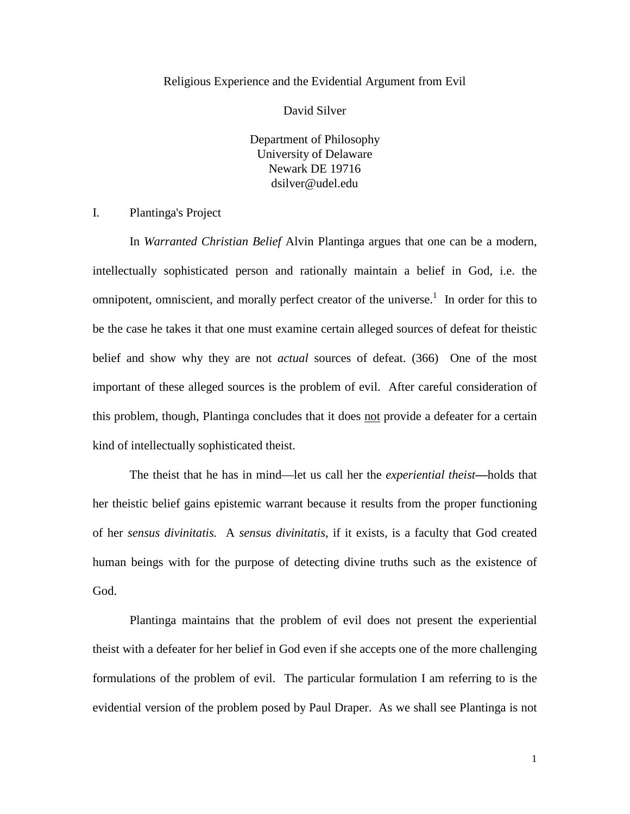### Religious Experience and the Evidential Argument from Evil

David Silver

Department of Philosophy University of Delaware Newark DE 19716 dsilver@udel.edu

## I. Plantinga's Project

In *Warranted Christian Belief* Alvin Plantinga argues that one can be a modern, intellectually sophisticated person and rationally maintain a belief in God, i.e. the omnipotent, omniscient, and morally perfect creator of the universe.<sup>1</sup> In order for this to be the case he takes it that one must examine certain alleged sources of defeat for theistic belief and show why they are not *actual* sources of defeat. (366) One of the most important of these alleged sources is the problem of evil. After careful consideration of this problem, though, Plantinga concludes that it does not provide a defeater for a certain kind of intellectually sophisticated theist.

The theist that he has in mind—let us call her the *experiential theist***—**holds that her theistic belief gains epistemic warrant because it results from the proper functioning of her *sensus divinitatis.* A *sensus divinitatis*, if it exists, is a faculty that God created human beings with for the purpose of detecting divine truths such as the existence of God.

Plantinga maintains that the problem of evil does not present the experiential theist with a defeater for her belief in God even if she accepts one of the more challenging formulations of the problem of evil. The particular formulation I am referring to is the evidential version of the problem posed by Paul Draper. As we shall see Plantinga is not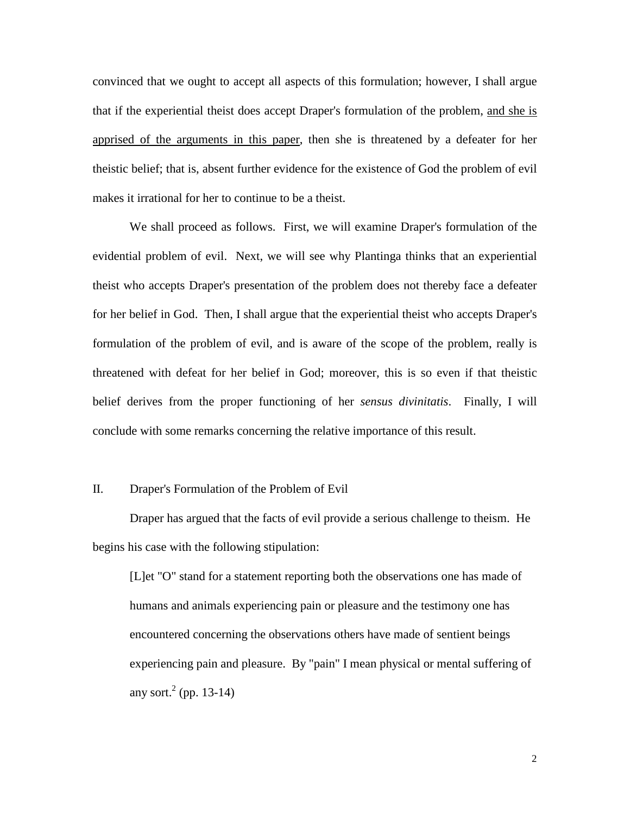convinced that we ought to accept all aspects of this formulation; however, I shall argue that if the experiential theist does accept Draper's formulation of the problem, and she is apprised of the arguments in this paper, then she is threatened by a defeater for her theistic belief; that is, absent further evidence for the existence of God the problem of evil makes it irrational for her to continue to be a theist.

We shall proceed as follows. First, we will examine Draper's formulation of the evidential problem of evil. Next, we will see why Plantinga thinks that an experiential theist who accepts Draper's presentation of the problem does not thereby face a defeater for her belief in God. Then, I shall argue that the experiential theist who accepts Draper's formulation of the problem of evil, and is aware of the scope of the problem, really is threatened with defeat for her belief in God; moreover, this is so even if that theistic belief derives from the proper functioning of her *sensus divinitatis*. Finally, I will conclude with some remarks concerning the relative importance of this result.

## II. Draper's Formulation of the Problem of Evil

Draper has argued that the facts of evil provide a serious challenge to theism. He begins his case with the following stipulation:

[L]et "O" stand for a statement reporting both the observations one has made of humans and animals experiencing pain or pleasure and the testimony one has encountered concerning the observations others have made of sentient beings experiencing pain and pleasure. By "pain" I mean physical or mental suffering of any sort. $^{2}$  (pp. 13-14)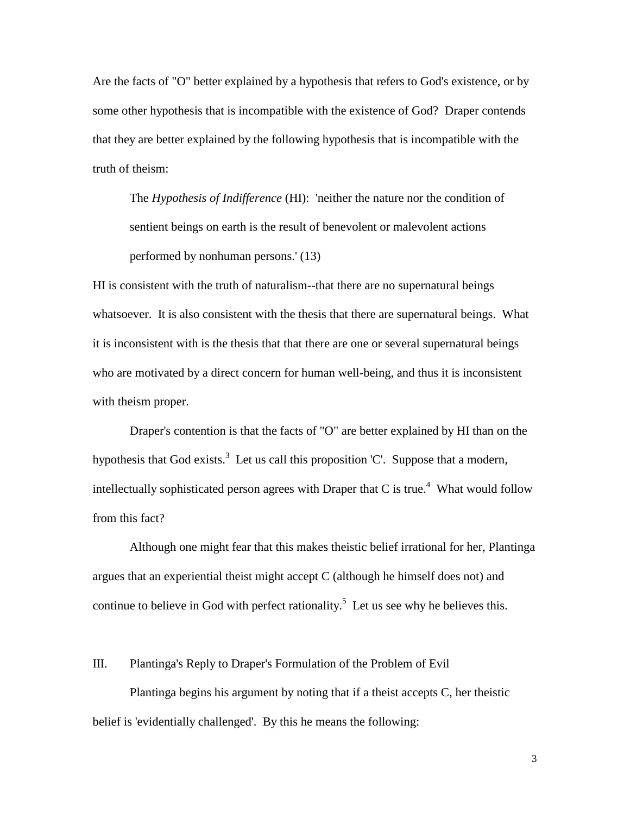Are the facts of "O" better explained by a hypothesis that refers to God's existence, or by some other hypothesis that is incompatible with the existence of God? Draper contends that they are better explained by the following hypothesis that is incompatible with the truth of theism:

The *Hypothesis of Indifference* (HI): 'neither the nature nor the condition of sentient beings on earth is the result of benevolent or malevolent actions performed by nonhuman persons.' (13)

HI is consistent with the truth of naturalism--that there are no supernatural beings whatsoever. It is also consistent with the thesis that there are supernatural beings. What it is inconsistent with is the thesis that that there are one or several supernatural beings who are motivated by a direct concern for human well-being, and thus it is inconsistent with theism proper.

Draper's contention is that the facts of "O" are better explained by HI than on the hypothesis that God exists.<sup>3</sup> Let us call this proposition  $\mathcal{C}'$ . Suppose that a modern, intellectually sophisticated person agrees with Draper that C is true.<sup>4</sup> What would follow from this fact?

Although one might fear that this makes theistic belief irrational for her, Plantinga argues that an experiential theist might accept C (although he himself does not) and continue to believe in God with perfect rationality.<sup>5</sup> Let us see why he believes this.

## III. Plantinga's Reply to Draper's Formulation of the Problem of Evil

Plantinga begins his argument by noting that if a theist accepts C, her theistic belief is 'evidentially challenged'. By this he means the following: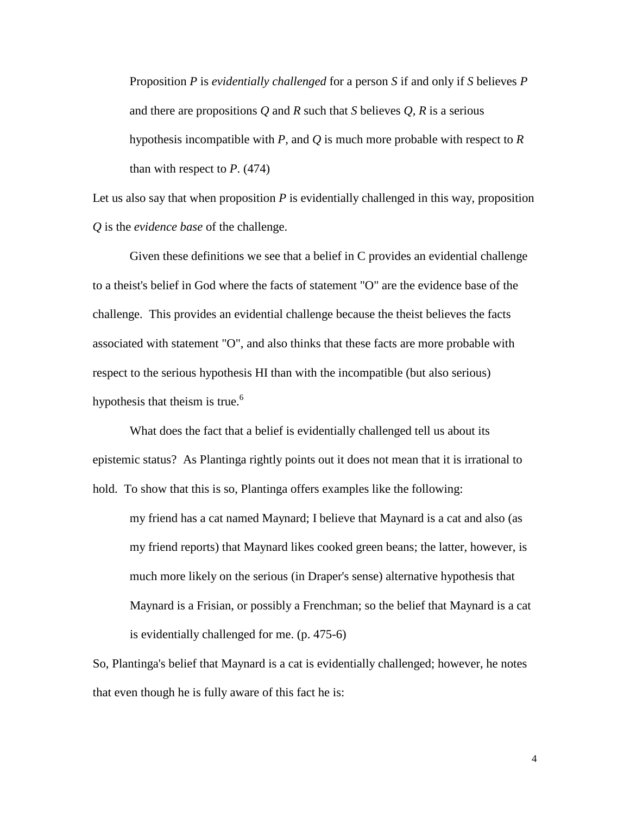Proposition *P* is *evidentially challenged* for a person *S* if and only if *S* believes *P* and there are propositions *Q* and *R* such that *S* believes *Q, R* is a serious hypothesis incompatible with *P,* and *Q* is much more probable with respect to *R* than with respect to *P*. (474)

Let us also say that when proposition *P* is evidentially challenged in this way, proposition *Q* is the *evidence base* of the challenge.

Given these definitions we see that a belief in C provides an evidential challenge to a theist's belief in God where the facts of statement "O" are the evidence base of the challenge. This provides an evidential challenge because the theist believes the facts associated with statement "O", and also thinks that these facts are more probable with respect to the serious hypothesis HI than with the incompatible (but also serious) hypothesis that theism is true.<sup>6</sup>

What does the fact that a belief is evidentially challenged tell us about its epistemic status? As Plantinga rightly points out it does not mean that it is irrational to hold. To show that this is so, Plantinga offers examples like the following:

my friend has a cat named Maynard; I believe that Maynard is a cat and also (as my friend reports) that Maynard likes cooked green beans; the latter, however, is much more likely on the serious (in Draper's sense) alternative hypothesis that Maynard is a Frisian, or possibly a Frenchman; so the belief that Maynard is a cat is evidentially challenged for me. (p. 475-6)

So, Plantinga's belief that Maynard is a cat is evidentially challenged; however, he notes that even though he is fully aware of this fact he is: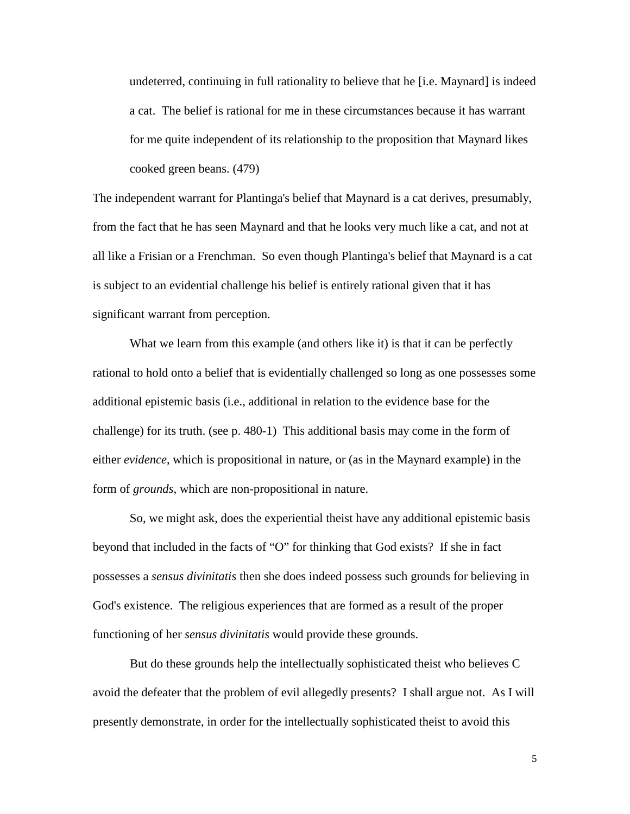undeterred, continuing in full rationality to believe that he [i.e. Maynard] is indeed a cat. The belief is rational for me in these circumstances because it has warrant for me quite independent of its relationship to the proposition that Maynard likes cooked green beans. (479)

The independent warrant for Plantinga's belief that Maynard is a cat derives, presumably, from the fact that he has seen Maynard and that he looks very much like a cat, and not at all like a Frisian or a Frenchman. So even though Plantinga's belief that Maynard is a cat is subject to an evidential challenge his belief is entirely rational given that it has significant warrant from perception.

What we learn from this example (and others like it) is that it can be perfectly rational to hold onto a belief that is evidentially challenged so long as one possesses some additional epistemic basis (i.e., additional in relation to the evidence base for the challenge) for its truth. (see p. 480-1) This additional basis may come in the form of either *evidence*, which is propositional in nature, or (as in the Maynard example) in the form of *grounds*, which are non-propositional in nature.

So, we might ask, does the experiential theist have any additional epistemic basis beyond that included in the facts of "O" for thinking that God exists? If she in fact possesses a *sensus divinitatis* then she does indeed possess such grounds for believing in God's existence. The religious experiences that are formed as a result of the proper functioning of her *sensus divinitatis* would provide these grounds.

But do these grounds help the intellectually sophisticated theist who believes C avoid the defeater that the problem of evil allegedly presents? I shall argue not. As I will presently demonstrate, in order for the intellectually sophisticated theist to avoid this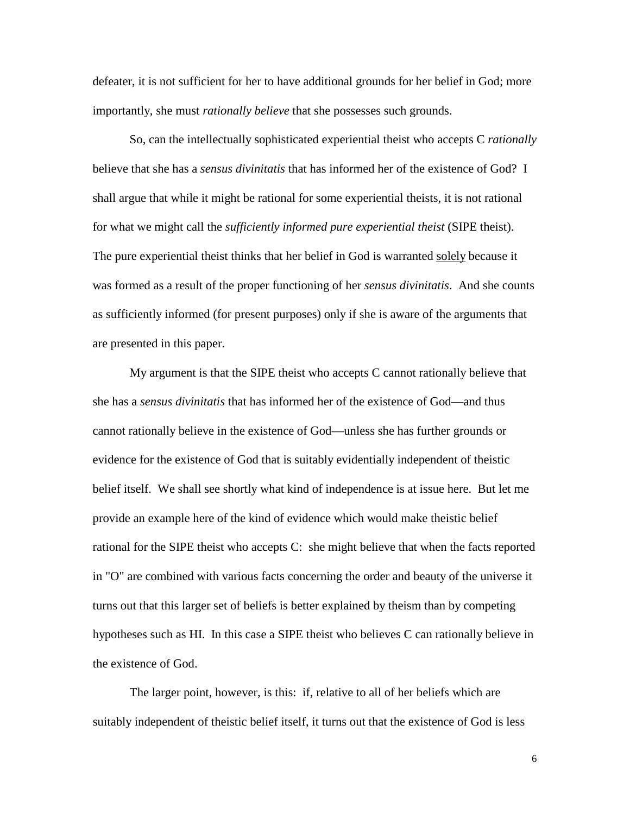defeater, it is not sufficient for her to have additional grounds for her belief in God; more importantly, she must *rationally believe* that she possesses such grounds.

So, can the intellectually sophisticated experiential theist who accepts C *rationally* believe that she has a *sensus divinitatis* that has informed her of the existence of God? I shall argue that while it might be rational for some experiential theists, it is not rational for what we might call the *sufficiently informed pure experiential theist* (SIPE theist). The pure experiential theist thinks that her belief in God is warranted solely because it was formed as a result of the proper functioning of her *sensus divinitatis*. And she counts as sufficiently informed (for present purposes) only if she is aware of the arguments that are presented in this paper.

My argument is that the SIPE theist who accepts C cannot rationally believe that she has a *sensus divinitatis* that has informed her of the existence of God—and thus cannot rationally believe in the existence of God—unless she has further grounds or evidence for the existence of God that is suitably evidentially independent of theistic belief itself. We shall see shortly what kind of independence is at issue here. But let me provide an example here of the kind of evidence which would make theistic belief rational for the SIPE theist who accepts C: she might believe that when the facts reported in "O" are combined with various facts concerning the order and beauty of the universe it turns out that this larger set of beliefs is better explained by theism than by competing hypotheses such as HI. In this case a SIPE theist who believes C can rationally believe in the existence of God.

The larger point, however, is this: if, relative to all of her beliefs which are suitably independent of theistic belief itself, it turns out that the existence of God is less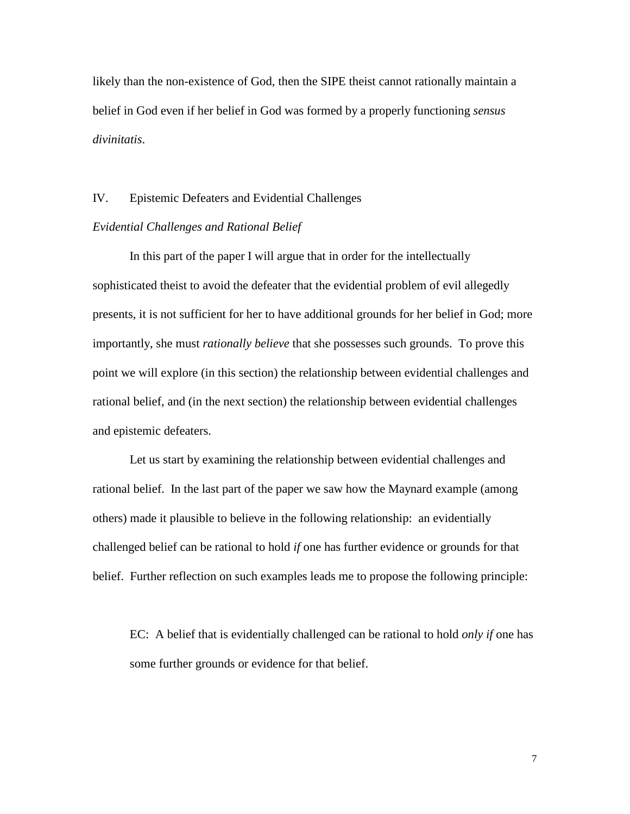likely than the non-existence of God, then the SIPE theist cannot rationally maintain a belief in God even if her belief in God was formed by a properly functioning *sensus divinitatis*.

# IV. Epistemic Defeaters and Evidential Challenges

### *Evidential Challenges and Rational Belief*

In this part of the paper I will argue that in order for the intellectually sophisticated theist to avoid the defeater that the evidential problem of evil allegedly presents, it is not sufficient for her to have additional grounds for her belief in God; more importantly, she must *rationally believe* that she possesses such grounds. To prove this point we will explore (in this section) the relationship between evidential challenges and rational belief, and (in the next section) the relationship between evidential challenges and epistemic defeaters.

Let us start by examining the relationship between evidential challenges and rational belief. In the last part of the paper we saw how the Maynard example (among others) made it plausible to believe in the following relationship: an evidentially challenged belief can be rational to hold *if* one has further evidence or grounds for that belief. Further reflection on such examples leads me to propose the following principle:

EC: A belief that is evidentially challenged can be rational to hold *only if* one has some further grounds or evidence for that belief.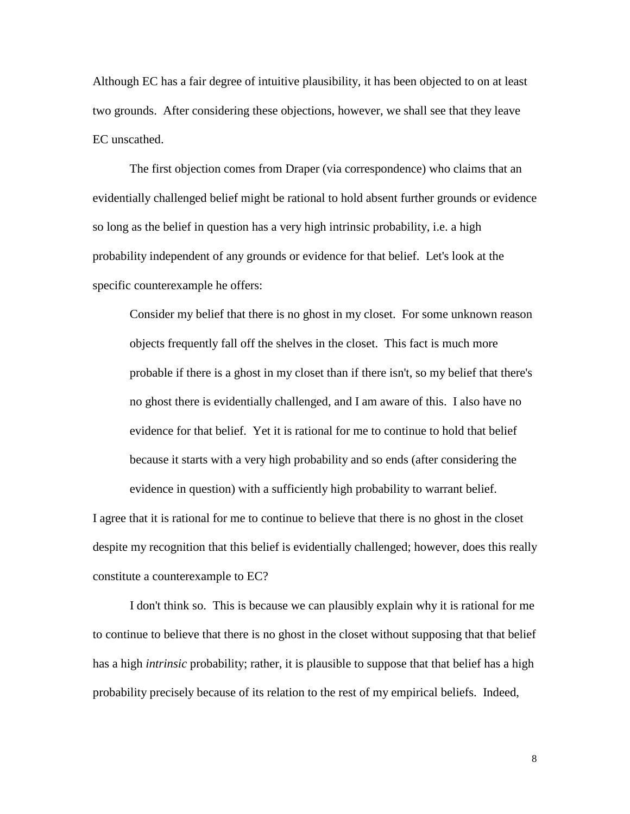Although EC has a fair degree of intuitive plausibility, it has been objected to on at least two grounds. After considering these objections, however, we shall see that they leave EC unscathed.

The first objection comes from Draper (via correspondence) who claims that an evidentially challenged belief might be rational to hold absent further grounds or evidence so long as the belief in question has a very high intrinsic probability, i.e. a high probability independent of any grounds or evidence for that belief. Let's look at the specific counterexample he offers:

Consider my belief that there is no ghost in my closet. For some unknown reason objects frequently fall off the shelves in the closet. This fact is much more probable if there is a ghost in my closet than if there isn't, so my belief that there's no ghost there is evidentially challenged, and I am aware of this. I also have no evidence for that belief. Yet it is rational for me to continue to hold that belief because it starts with a very high probability and so ends (after considering the evidence in question) with a sufficiently high probability to warrant belief.

I agree that it is rational for me to continue to believe that there is no ghost in the closet despite my recognition that this belief is evidentially challenged; however, does this really constitute a counterexample to EC?

I don't think so. This is because we can plausibly explain why it is rational for me to continue to believe that there is no ghost in the closet without supposing that that belief has a high *intrinsic* probability; rather, it is plausible to suppose that that belief has a high probability precisely because of its relation to the rest of my empirical beliefs. Indeed,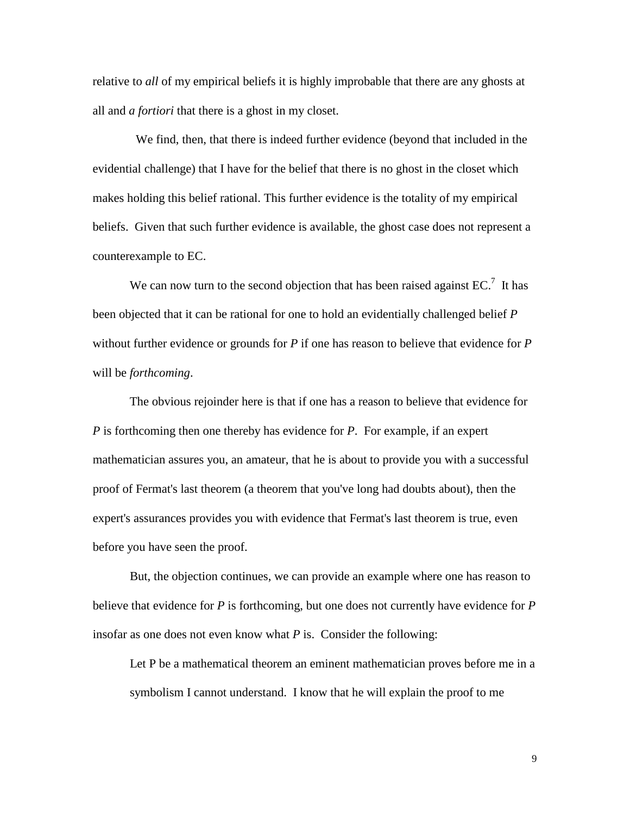relative to *all* of my empirical beliefs it is highly improbable that there are any ghosts at all and *a fortiori* that there is a ghost in my closet.

We find, then, that there is indeed further evidence (beyond that included in the evidential challenge) that I have for the belief that there is no ghost in the closet which makes holding this belief rational. This further evidence is the totality of my empirical beliefs. Given that such further evidence is available, the ghost case does not represent a counterexample to EC.

We can now turn to the second objection that has been raised against  $EC^7$ . It has been objected that it can be rational for one to hold an evidentially challenged belief *P* without further evidence or grounds for *P* if one has reason to believe that evidence for *P* will be *forthcoming*.

The obvious rejoinder here is that if one has a reason to believe that evidence for *P* is forthcoming then one thereby has evidence for *P*. For example, if an expert mathematician assures you, an amateur, that he is about to provide you with a successful proof of Fermat's last theorem (a theorem that you've long had doubts about), then the expert's assurances provides you with evidence that Fermat's last theorem is true, even before you have seen the proof.

But, the objection continues, we can provide an example where one has reason to believe that evidence for *P* is forthcoming, but one does not currently have evidence for *P* insofar as one does not even know what *P* is. Consider the following:

Let P be a mathematical theorem an eminent mathematician proves before me in a symbolism I cannot understand. I know that he will explain the proof to me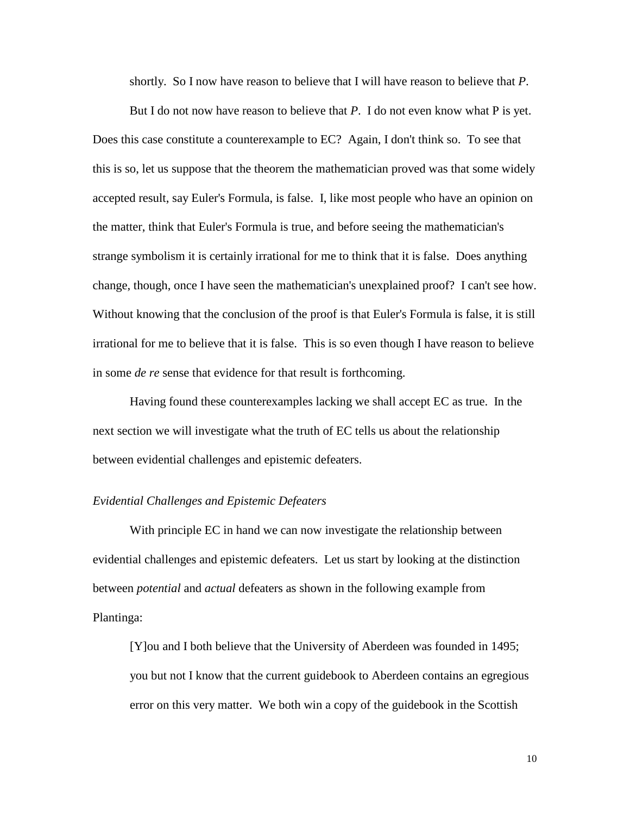shortly. So I now have reason to believe that I will have reason to believe that *P*.

But I do not now have reason to believe that *P*. I do not even know what P is yet. Does this case constitute a counterexample to EC? Again, I don't think so. To see that this is so, let us suppose that the theorem the mathematician proved was that some widely accepted result, say Euler's Formula, is false. I, like most people who have an opinion on the matter, think that Euler's Formula is true, and before seeing the mathematician's strange symbolism it is certainly irrational for me to think that it is false. Does anything change, though, once I have seen the mathematician's unexplained proof? I can't see how. Without knowing that the conclusion of the proof is that Euler's Formula is false, it is still irrational for me to believe that it is false. This is so even though I have reason to believe in some *de re* sense that evidence for that result is forthcoming.

Having found these counterexamples lacking we shall accept EC as true. In the next section we will investigate what the truth of EC tells us about the relationship between evidential challenges and epistemic defeaters.

#### *Evidential Challenges and Epistemic Defeaters*

With principle EC in hand we can now investigate the relationship between evidential challenges and epistemic defeaters. Let us start by looking at the distinction between *potential* and *actual* defeaters as shown in the following example from Plantinga:

[Y]ou and I both believe that the University of Aberdeen was founded in 1495; you but not I know that the current guidebook to Aberdeen contains an egregious error on this very matter. We both win a copy of the guidebook in the Scottish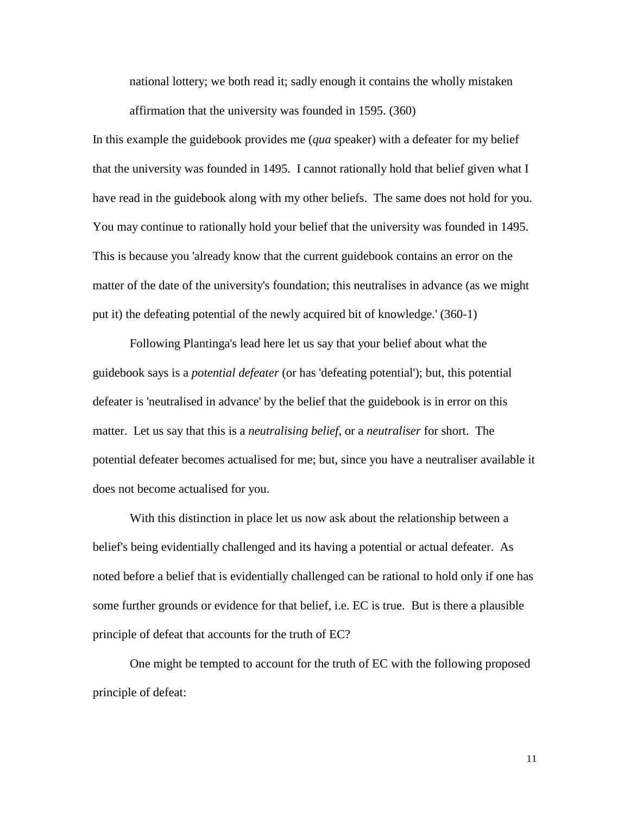national lottery; we both read it; sadly enough it contains the wholly mistaken affirmation that the university was founded in 1595. (360)

In this example the guidebook provides me (*qua* speaker) with a defeater for my belief that the university was founded in 1495. I cannot rationally hold that belief given what I have read in the guidebook along with my other beliefs. The same does not hold for you. You may continue to rationally hold your belief that the university was founded in 1495. This is because you 'already know that the current guidebook contains an error on the matter of the date of the university's foundation; this neutralises in advance (as we might put it) the defeating potential of the newly acquired bit of knowledge.' (360-1)

Following Plantinga's lead here let us say that your belief about what the guidebook says is a *potential defeater* (or has 'defeating potential'); but, this potential defeater is 'neutralised in advance' by the belief that the guidebook is in error on this matter. Let us say that this is a *neutralising belief*, or a *neutraliser* for short. The potential defeater becomes actualised for me; but, since you have a neutraliser available it does not become actualised for you.

With this distinction in place let us now ask about the relationship between a belief's being evidentially challenged and its having a potential or actual defeater. As noted before a belief that is evidentially challenged can be rational to hold only if one has some further grounds or evidence for that belief, i.e. EC is true. But is there a plausible principle of defeat that accounts for the truth of EC?

One might be tempted to account for the truth of EC with the following proposed principle of defeat: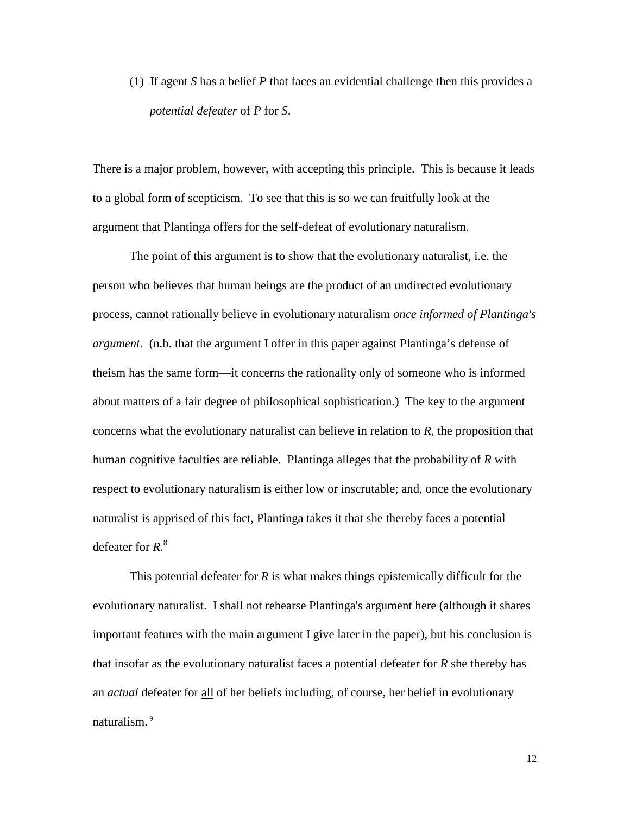(1) If agent *S* has a belief *P* that faces an evidential challenge then this provides a *potential defeater* of *P* for *S*.

There is a major problem, however, with accepting this principle. This is because it leads to a global form of scepticism. To see that this is so we can fruitfully look at the argument that Plantinga offers for the self-defeat of evolutionary naturalism.

The point of this argument is to show that the evolutionary naturalist, i.e. the person who believes that human beings are the product of an undirected evolutionary process, cannot rationally believe in evolutionary naturalism *once informed of Plantinga's argument*. (n.b. that the argument I offer in this paper against Plantinga's defense of theism has the same form—it concerns the rationality only of someone who is informed about matters of a fair degree of philosophical sophistication.) The key to the argument concerns what the evolutionary naturalist can believe in relation to *R*, the proposition that human cognitive faculties are reliable. Plantinga alleges that the probability of *R* with respect to evolutionary naturalism is either low or inscrutable; and, once the evolutionary naturalist is apprised of this fact, Plantinga takes it that she thereby faces a potential defeater for *R*. 8

This potential defeater for *R* is what makes things epistemically difficult for the evolutionary naturalist. I shall not rehearse Plantinga's argument here (although it shares important features with the main argument I give later in the paper), but his conclusion is that insofar as the evolutionary naturalist faces a potential defeater for *R* she thereby has an *actual* defeater for all of her beliefs including, of course, her belief in evolutionary naturalism. 9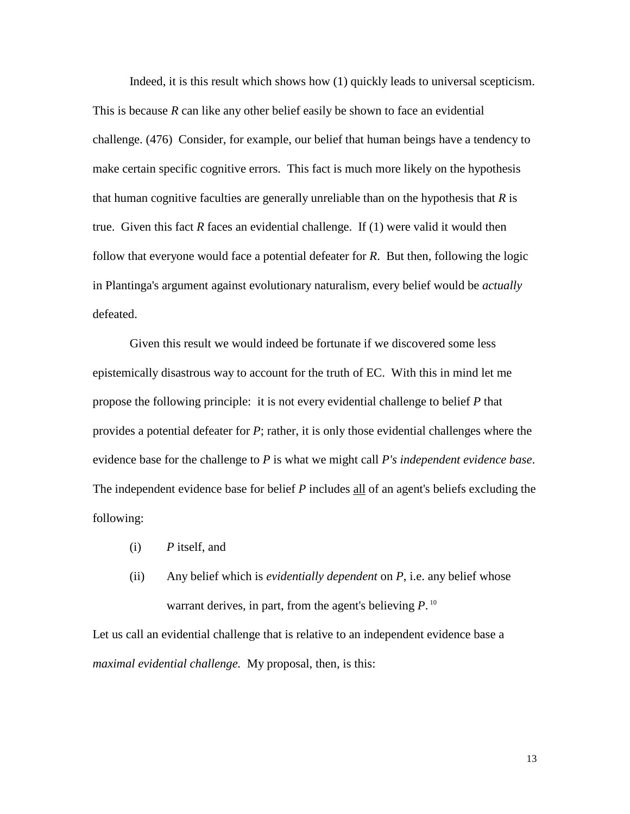Indeed, it is this result which shows how (1) quickly leads to universal scepticism. This is because *R* can like any other belief easily be shown to face an evidential challenge. (476) Consider, for example, our belief that human beings have a tendency to make certain specific cognitive errors. This fact is much more likely on the hypothesis that human cognitive faculties are generally unreliable than on the hypothesis that *R* is true. Given this fact *R* faces an evidential challenge. If (1) were valid it would then follow that everyone would face a potential defeater for *R*. But then, following the logic in Plantinga's argument against evolutionary naturalism, every belief would be *actually* defeated.

Given this result we would indeed be fortunate if we discovered some less epistemically disastrous way to account for the truth of EC. With this in mind let me propose the following principle: it is not every evidential challenge to belief *P* that provides a potential defeater for *P*; rather, it is only those evidential challenges where the evidence base for the challenge to *P* is what we might call *P's independent evidence base*. The independent evidence base for belief *P* includes all of an agent's beliefs excluding the following:

- (i) *P* itself, and
- (ii) Any belief which is *evidentially dependent* on *P*, i.e. any belief whose warrant derives, in part, from the agent's believing *P*. 10

Let us call an evidential challenge that is relative to an independent evidence base a *maximal evidential challenge.* My proposal, then, is this: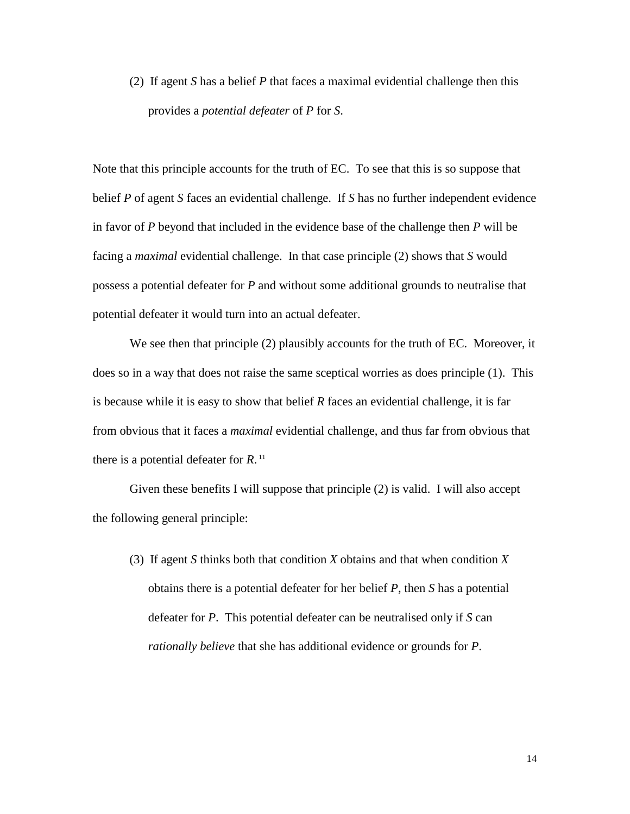(2) If agent *S* has a belief *P* that faces a maximal evidential challenge then this provides a *potential defeater* of *P* for *S*.

Note that this principle accounts for the truth of EC. To see that this is so suppose that belief *P* of agent *S* faces an evidential challenge. If *S* has no further independent evidence in favor of *P* beyond that included in the evidence base of the challenge then *P* will be facing a *maximal* evidential challenge. In that case principle (2) shows that *S* would possess a potential defeater for *P* and without some additional grounds to neutralise that potential defeater it would turn into an actual defeater.

We see then that principle (2) plausibly accounts for the truth of EC. Moreover, it does so in a way that does not raise the same sceptical worries as does principle (1). This is because while it is easy to show that belief *R* faces an evidential challenge, it is far from obvious that it faces a *maximal* evidential challenge, and thus far from obvious that there is a potential defeater for *R*. 11

Given these benefits I will suppose that principle (2) is valid. I will also accept the following general principle:

(3) If agent *S* thinks both that condition *X* obtains and that when condition *X* obtains there is a potential defeater for her belief *P*, then *S* has a potential defeater for *P*. This potential defeater can be neutralised only if *S* can *rationally believe* that she has additional evidence or grounds for *P*.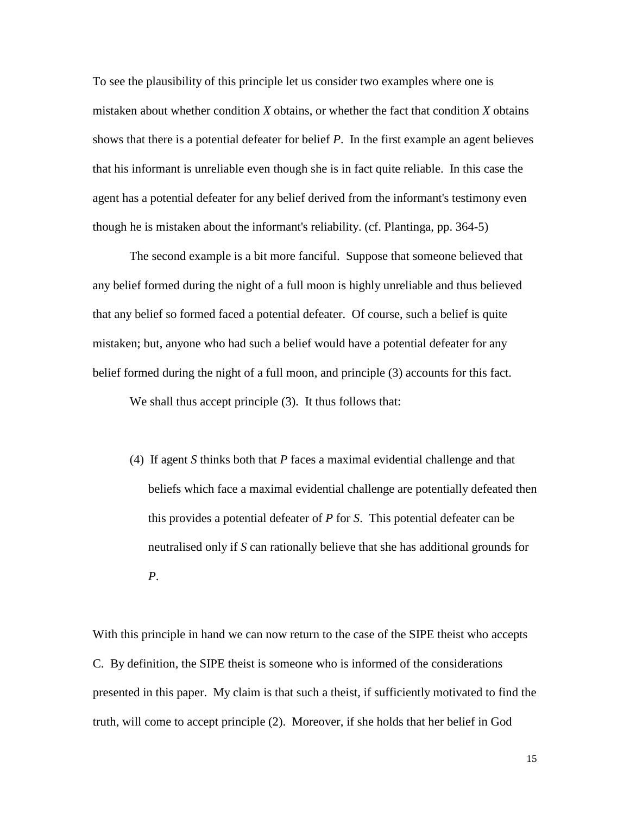To see the plausibility of this principle let us consider two examples where one is mistaken about whether condition *X* obtains, or whether the fact that condition *X* obtains shows that there is a potential defeater for belief *P*. In the first example an agent believes that his informant is unreliable even though she is in fact quite reliable. In this case the agent has a potential defeater for any belief derived from the informant's testimony even though he is mistaken about the informant's reliability. (cf. Plantinga, pp. 364-5)

The second example is a bit more fanciful. Suppose that someone believed that any belief formed during the night of a full moon is highly unreliable and thus believed that any belief so formed faced a potential defeater. Of course, such a belief is quite mistaken; but, anyone who had such a belief would have a potential defeater for any belief formed during the night of a full moon, and principle (3) accounts for this fact.

We shall thus accept principle (3). It thus follows that:

(4) If agent *S* thinks both that *P* faces a maximal evidential challenge and that beliefs which face a maximal evidential challenge are potentially defeated then this provides a potential defeater of *P* for *S*. This potential defeater can be neutralised only if *S* can rationally believe that she has additional grounds for *P*.

With this principle in hand we can now return to the case of the SIPE theist who accepts C. By definition, the SIPE theist is someone who is informed of the considerations presented in this paper. My claim is that such a theist, if sufficiently motivated to find the truth, will come to accept principle (2). Moreover, if she holds that her belief in God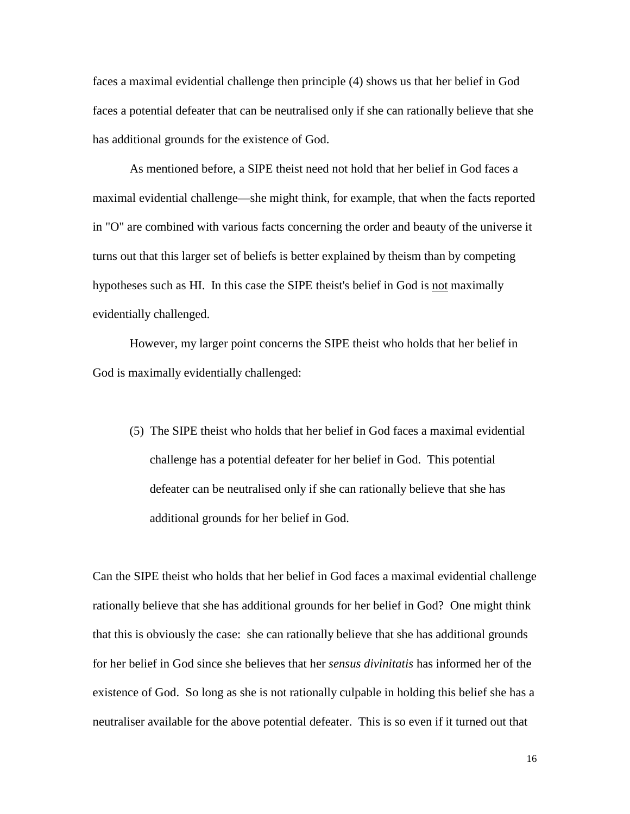faces a maximal evidential challenge then principle (4) shows us that her belief in God faces a potential defeater that can be neutralised only if she can rationally believe that she has additional grounds for the existence of God.

As mentioned before, a SIPE theist need not hold that her belief in God faces a maximal evidential challenge—she might think, for example, that when the facts reported in "O" are combined with various facts concerning the order and beauty of the universe it turns out that this larger set of beliefs is better explained by theism than by competing hypotheses such as HI. In this case the SIPE theist's belief in God is not maximally evidentially challenged.

However, my larger point concerns the SIPE theist who holds that her belief in God is maximally evidentially challenged:

(5) The SIPE theist who holds that her belief in God faces a maximal evidential challenge has a potential defeater for her belief in God. This potential defeater can be neutralised only if she can rationally believe that she has additional grounds for her belief in God.

Can the SIPE theist who holds that her belief in God faces a maximal evidential challenge rationally believe that she has additional grounds for her belief in God? One might think that this is obviously the case: she can rationally believe that she has additional grounds for her belief in God since she believes that her *sensus divinitatis* has informed her of the existence of God. So long as she is not rationally culpable in holding this belief she has a neutraliser available for the above potential defeater. This is so even if it turned out that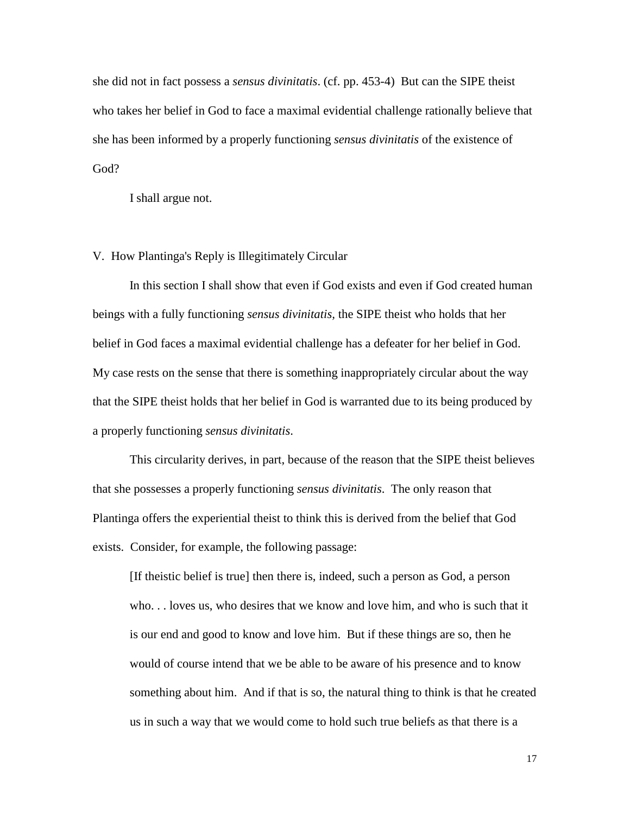she did not in fact possess a *sensus divinitatis*. (cf. pp. 453-4) But can the SIPE theist who takes her belief in God to face a maximal evidential challenge rationally believe that she has been informed by a properly functioning *sensus divinitatis* of the existence of God?

I shall argue not.

## V. How Plantinga's Reply is Illegitimately Circular

In this section I shall show that even if God exists and even if God created human beings with a fully functioning *sensus divinitatis,* the SIPE theist who holds that her belief in God faces a maximal evidential challenge has a defeater for her belief in God. My case rests on the sense that there is something inappropriately circular about the way that the SIPE theist holds that her belief in God is warranted due to its being produced by a properly functioning *sensus divinitatis*.

This circularity derives, in part, because of the reason that the SIPE theist believes that she possesses a properly functioning *sensus divinitatis*. The only reason that Plantinga offers the experiential theist to think this is derived from the belief that God exists. Consider, for example, the following passage:

[If theistic belief is true] then there is, indeed, such a person as God, a person who. . . loves us, who desires that we know and love him, and who is such that it is our end and good to know and love him. But if these things are so, then he would of course intend that we be able to be aware of his presence and to know something about him. And if that is so, the natural thing to think is that he created us in such a way that we would come to hold such true beliefs as that there is a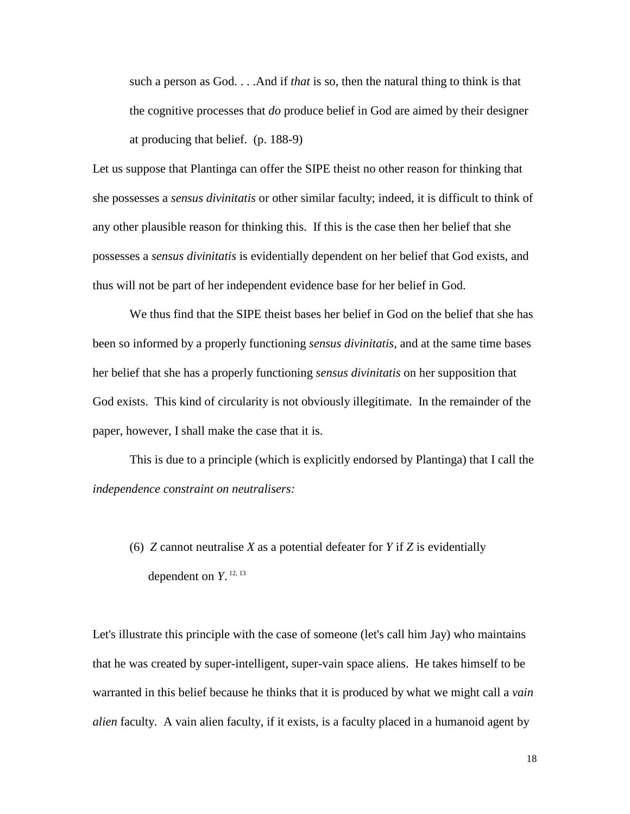such a person as God. . . .And if *that* is so, then the natural thing to think is that the cognitive processes that *do* produce belief in God are aimed by their designer at producing that belief. (p. 188-9)

Let us suppose that Plantinga can offer the SIPE theist no other reason for thinking that she possesses a *sensus divinitatis* or other similar faculty; indeed, it is difficult to think of any other plausible reason for thinking this. If this is the case then her belief that she possesses a *sensus divinitatis* is evidentially dependent on her belief that God exists, and thus will not be part of her independent evidence base for her belief in God.

We thus find that the SIPE theist bases her belief in God on the belief that she has been so informed by a properly functioning *sensus divinitatis*, and at the same time bases her belief that she has a properly functioning *sensus divinitatis* on her supposition that God exists. This kind of circularity is not obviously illegitimate. In the remainder of the paper, however, I shall make the case that it is.

This is due to a principle (which is explicitly endorsed by Plantinga) that I call the *independence constraint on neutralisers:*

(6) *Z* cannot neutralise *X* as a potential defeater for *Y* if *Z* is evidentially dependent on *Y*. 12, 13

Let's illustrate this principle with the case of someone (let's call him Jay) who maintains that he was created by super-intelligent, super-vain space aliens. He takes himself to be warranted in this belief because he thinks that it is produced by what we might call a *vain alien* faculty. A vain alien faculty, if it exists, is a faculty placed in a humanoid agent by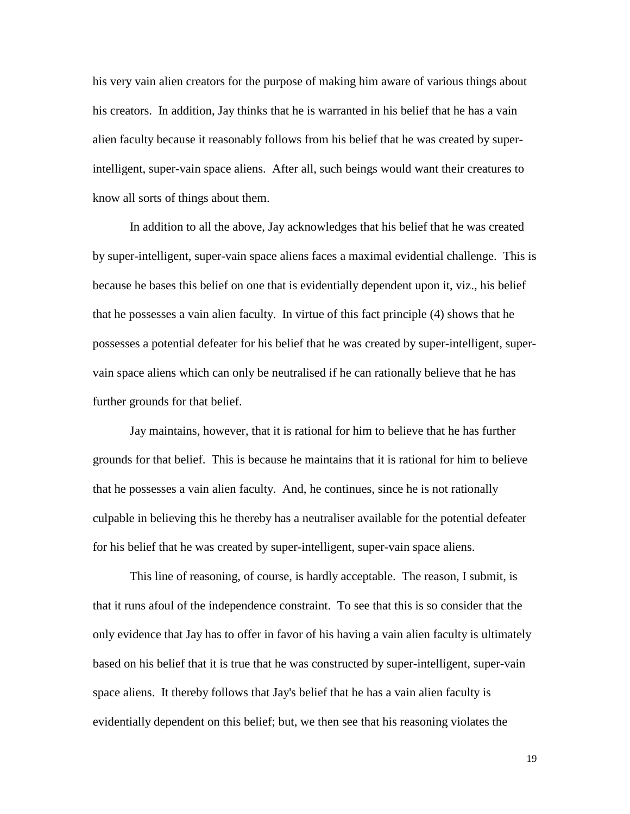his very vain alien creators for the purpose of making him aware of various things about his creators. In addition, Jay thinks that he is warranted in his belief that he has a vain alien faculty because it reasonably follows from his belief that he was created by superintelligent, super-vain space aliens. After all, such beings would want their creatures to know all sorts of things about them.

In addition to all the above, Jay acknowledges that his belief that he was created by super-intelligent, super-vain space aliens faces a maximal evidential challenge. This is because he bases this belief on one that is evidentially dependent upon it, viz., his belief that he possesses a vain alien faculty. In virtue of this fact principle (4) shows that he possesses a potential defeater for his belief that he was created by super-intelligent, supervain space aliens which can only be neutralised if he can rationally believe that he has further grounds for that belief.

Jay maintains, however, that it is rational for him to believe that he has further grounds for that belief. This is because he maintains that it is rational for him to believe that he possesses a vain alien faculty. And, he continues, since he is not rationally culpable in believing this he thereby has a neutraliser available for the potential defeater for his belief that he was created by super-intelligent, super-vain space aliens.

This line of reasoning, of course, is hardly acceptable. The reason, I submit, is that it runs afoul of the independence constraint. To see that this is so consider that the only evidence that Jay has to offer in favor of his having a vain alien faculty is ultimately based on his belief that it is true that he was constructed by super-intelligent, super-vain space aliens. It thereby follows that Jay's belief that he has a vain alien faculty is evidentially dependent on this belief; but, we then see that his reasoning violates the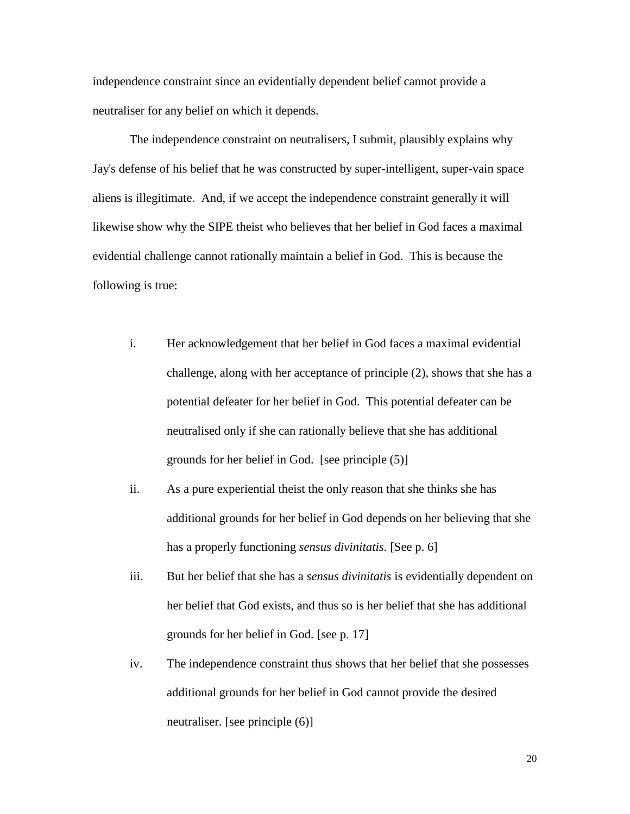independence constraint since an evidentially dependent belief cannot provide a neutraliser for any belief on which it depends.

The independence constraint on neutralisers, I submit, plausibly explains why Jay's defense of his belief that he was constructed by super-intelligent, super-vain space aliens is illegitimate. And, if we accept the independence constraint generally it will likewise show why the SIPE theist who believes that her belief in God faces a maximal evidential challenge cannot rationally maintain a belief in God. This is because the following is true:

- i. Her acknowledgement that her belief in God faces a maximal evidential challenge, along with her acceptance of principle (2), shows that she has a potential defeater for her belief in God. This potential defeater can be neutralised only if she can rationally believe that she has additional grounds for her belief in God. [see principle (5)]
- ii. As a pure experiential theist the only reason that she thinks she has additional grounds for her belief in God depends on her believing that she has a properly functioning *sensus divinitatis*. [See p. 6]
- iii. But her belief that she has a *sensus divinitatis* is evidentially dependent on her belief that God exists, and thus so is her belief that she has additional grounds for her belief in God. [see p. 17]
- iv. The independence constraint thus shows that her belief that she possesses additional grounds for her belief in God cannot provide the desired neutraliser. [see principle (6)]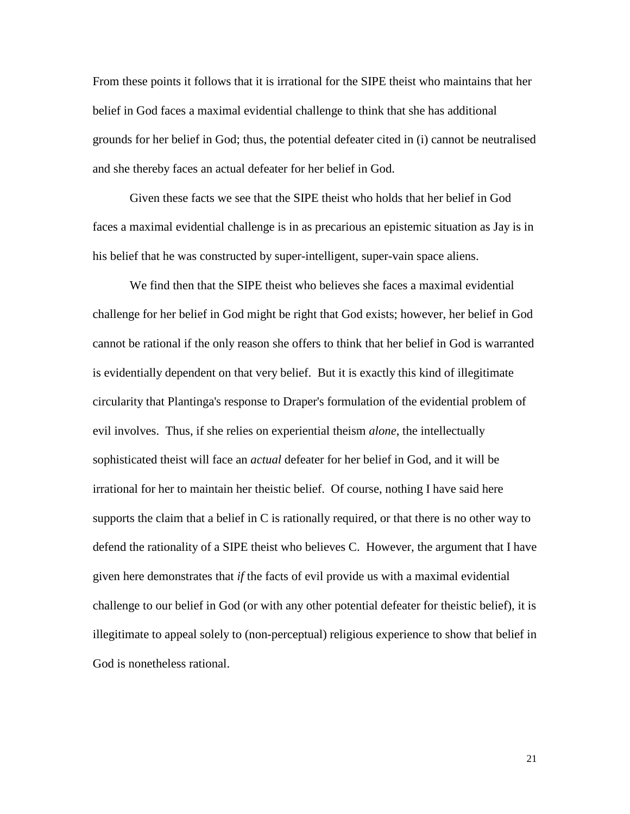From these points it follows that it is irrational for the SIPE theist who maintains that her belief in God faces a maximal evidential challenge to think that she has additional grounds for her belief in God; thus, the potential defeater cited in (i) cannot be neutralised and she thereby faces an actual defeater for her belief in God.

Given these facts we see that the SIPE theist who holds that her belief in God faces a maximal evidential challenge is in as precarious an epistemic situation as Jay is in his belief that he was constructed by super-intelligent, super-vain space aliens.

We find then that the SIPE theist who believes she faces a maximal evidential challenge for her belief in God might be right that God exists; however, her belief in God cannot be rational if the only reason she offers to think that her belief in God is warranted is evidentially dependent on that very belief. But it is exactly this kind of illegitimate circularity that Plantinga's response to Draper's formulation of the evidential problem of evil involves. Thus, if she relies on experiential theism *alone*, the intellectually sophisticated theist will face an *actual* defeater for her belief in God, and it will be irrational for her to maintain her theistic belief. Of course, nothing I have said here supports the claim that a belief in  $C$  is rationally required, or that there is no other way to defend the rationality of a SIPE theist who believes C. However, the argument that I have given here demonstrates that *if* the facts of evil provide us with a maximal evidential challenge to our belief in God (or with any other potential defeater for theistic belief), it is illegitimate to appeal solely to (non-perceptual) religious experience to show that belief in God is nonetheless rational.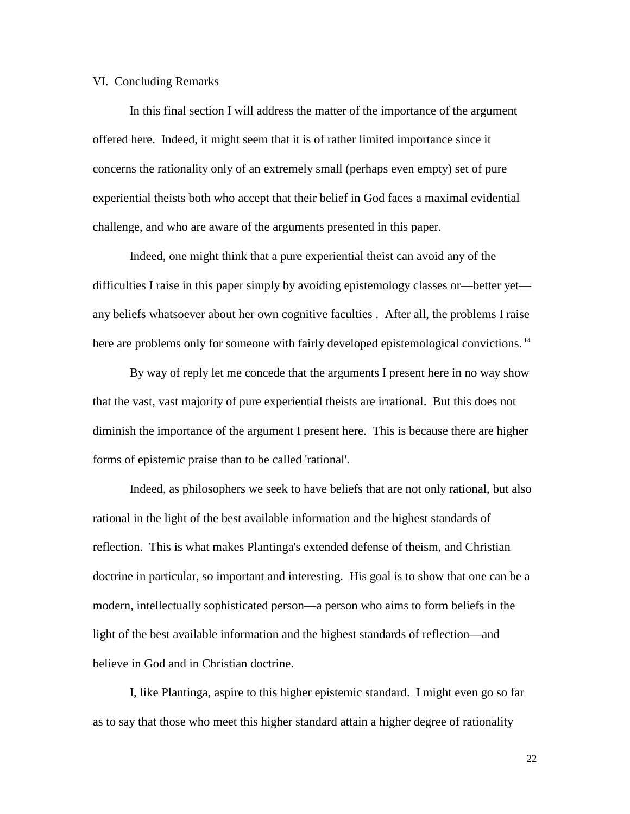### VI. Concluding Remarks

In this final section I will address the matter of the importance of the argument offered here. Indeed, it might seem that it is of rather limited importance since it concerns the rationality only of an extremely small (perhaps even empty) set of pure experiential theists both who accept that their belief in God faces a maximal evidential challenge, and who are aware of the arguments presented in this paper.

Indeed, one might think that a pure experiential theist can avoid any of the difficulties I raise in this paper simply by avoiding epistemology classes or—better yet any beliefs whatsoever about her own cognitive faculties . After all, the problems I raise here are problems only for someone with fairly developed epistemological convictions.<sup>14</sup>

By way of reply let me concede that the arguments I present here in no way show that the vast, vast majority of pure experiential theists are irrational. But this does not diminish the importance of the argument I present here. This is because there are higher forms of epistemic praise than to be called 'rational'.

Indeed, as philosophers we seek to have beliefs that are not only rational, but also rational in the light of the best available information and the highest standards of reflection. This is what makes Plantinga's extended defense of theism, and Christian doctrine in particular, so important and interesting. His goal is to show that one can be a modern, intellectually sophisticated person—a person who aims to form beliefs in the light of the best available information and the highest standards of reflection—and believe in God and in Christian doctrine.

I, like Plantinga, aspire to this higher epistemic standard. I might even go so far as to say that those who meet this higher standard attain a higher degree of rationality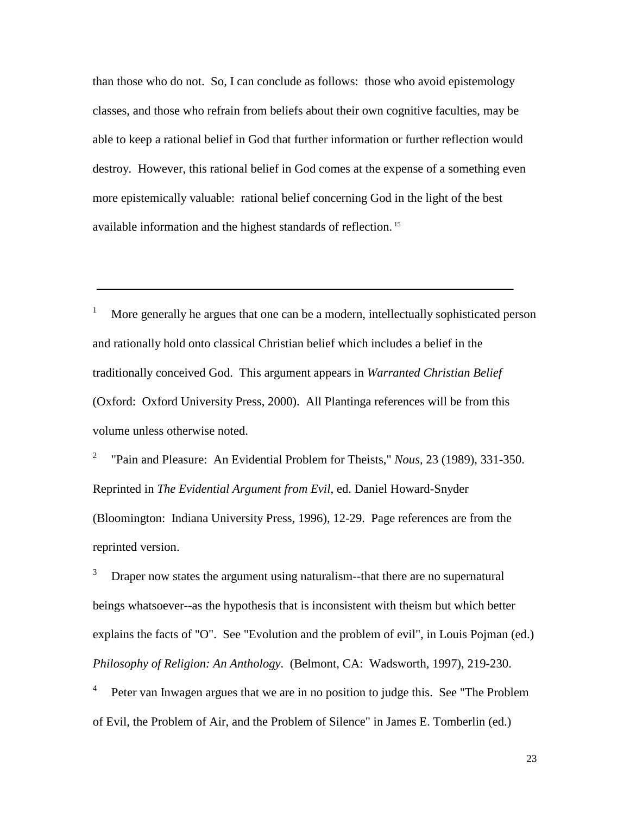than those who do not. So, I can conclude as follows: those who avoid epistemology classes, and those who refrain from beliefs about their own cognitive faculties, may be able to keep a rational belief in God that further information or further reflection would destroy. However, this rational belief in God comes at the expense of a something even more epistemically valuable: rational belief concerning God in the light of the best available information and the highest standards of reflection. 15

More generally he argues that one can be a modern, intellectually sophisticated person and rationally hold onto classical Christian belief which includes a belief in the traditionally conceived God. This argument appears in *Warranted Christian Belief* (Oxford: Oxford University Press, 2000). All Plantinga references will be from this volume unless otherwise noted.

2 "Pain and Pleasure: An Evidential Problem for Theists," *Nous,* 23 (1989), 331-350. Reprinted in *The Evidential Argument from Evil*, ed. Daniel Howard-Snyder (Bloomington: Indiana University Press, 1996), 12-29. Page references are from the reprinted version.

 $3$  Draper now states the argument using naturalism--that there are no supernatural beings whatsoever--as the hypothesis that is inconsistent with theism but which better explains the facts of "O". See "Evolution and the problem of evil", in Louis Pojman (ed.) *Philosophy of Religion: An Anthology*. (Belmont, CA: Wadsworth, 1997), 219-230.

4 Peter van Inwagen argues that we are in no position to judge this. See "The Problem of Evil, the Problem of Air, and the Problem of Silence" in James E. Tomberlin (ed.)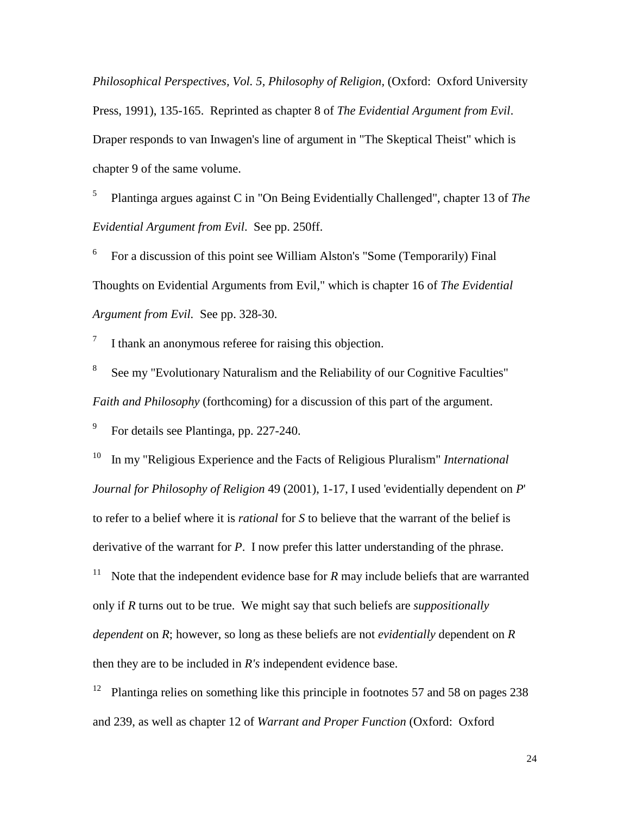*Philosophical Perspectives, Vol. 5, Philosophy of Religion,* (Oxford: Oxford University Press, 1991), 135-165. Reprinted as chapter 8 of *The Evidential Argument from Evil*. Draper responds to van Inwagen's line of argument in "The Skeptical Theist" which is chapter 9 of the same volume.

5 Plantinga argues against C in "On Being Evidentially Challenged", chapter 13 of *The Evidential Argument from Evil*. See pp. 250ff.

6 For a discussion of this point see William Alston's "Some (Temporarily) Final Thoughts on Evidential Arguments from Evil," which is chapter 16 of *The Evidential Argument from Evil.* See pp. 328-30.

7 I thank an anonymous referee for raising this objection.

8 See my "Evolutionary Naturalism and the Reliability of our Cognitive Faculties" *Faith and Philosophy* (forthcoming) for a discussion of this part of the argument.

9 For details see Plantinga, pp. 227-240.

10 In my "Religious Experience and the Facts of Religious Pluralism" *International Journal for Philosophy of Religion* 49 (2001), 1-17, I used 'evidentially dependent on *P*' to refer to a belief where it is *rational* for *S* to believe that the warrant of the belief is derivative of the warrant for *P*. I now prefer this latter understanding of the phrase.

<sup>11</sup> Note that the independent evidence base for  $R$  may include beliefs that are warranted only if *R* turns out to be true. We might say that such beliefs are *suppositionally dependent* on *R*; however, so long as these beliefs are not *evidentially* dependent on *R* then they are to be included in *R's* independent evidence base.

12 Plantinga relies on something like this principle in footnotes 57 and 58 on pages 238 and 239, as well as chapter 12 of *Warrant and Proper Function* (Oxford: Oxford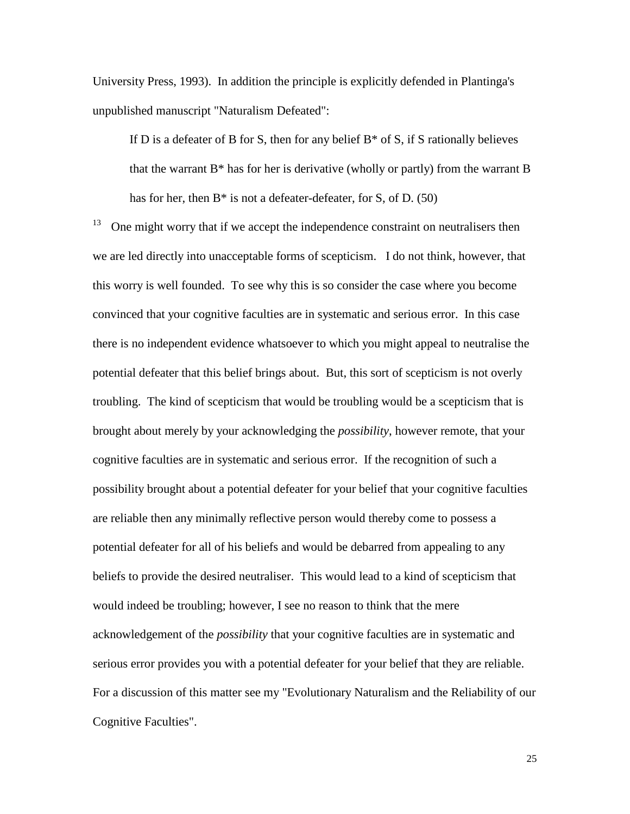University Press, 1993). In addition the principle is explicitly defended in Plantinga's unpublished manuscript "Naturalism Defeated":

If D is a defeater of B for S, then for any belief  $B^*$  of S, if S rationally believes that the warrant  $B^*$  has for her is derivative (wholly or partly) from the warrant  $B$ has for her, then  $B^*$  is not a defeater-defeater, for S, of D. (50)

 $13$  One might worry that if we accept the independence constraint on neutralisers then we are led directly into unacceptable forms of scepticism. I do not think, however, that this worry is well founded. To see why this is so consider the case where you become convinced that your cognitive faculties are in systematic and serious error. In this case there is no independent evidence whatsoever to which you might appeal to neutralise the potential defeater that this belief brings about. But, this sort of scepticism is not overly troubling. The kind of scepticism that would be troubling would be a scepticism that is brought about merely by your acknowledging the *possibility*, however remote, that your cognitive faculties are in systematic and serious error. If the recognition of such a possibility brought about a potential defeater for your belief that your cognitive faculties are reliable then any minimally reflective person would thereby come to possess a potential defeater for all of his beliefs and would be debarred from appealing to any beliefs to provide the desired neutraliser. This would lead to a kind of scepticism that would indeed be troubling; however, I see no reason to think that the mere acknowledgement of the *possibility* that your cognitive faculties are in systematic and serious error provides you with a potential defeater for your belief that they are reliable. For a discussion of this matter see my "Evolutionary Naturalism and the Reliability of our Cognitive Faculties".